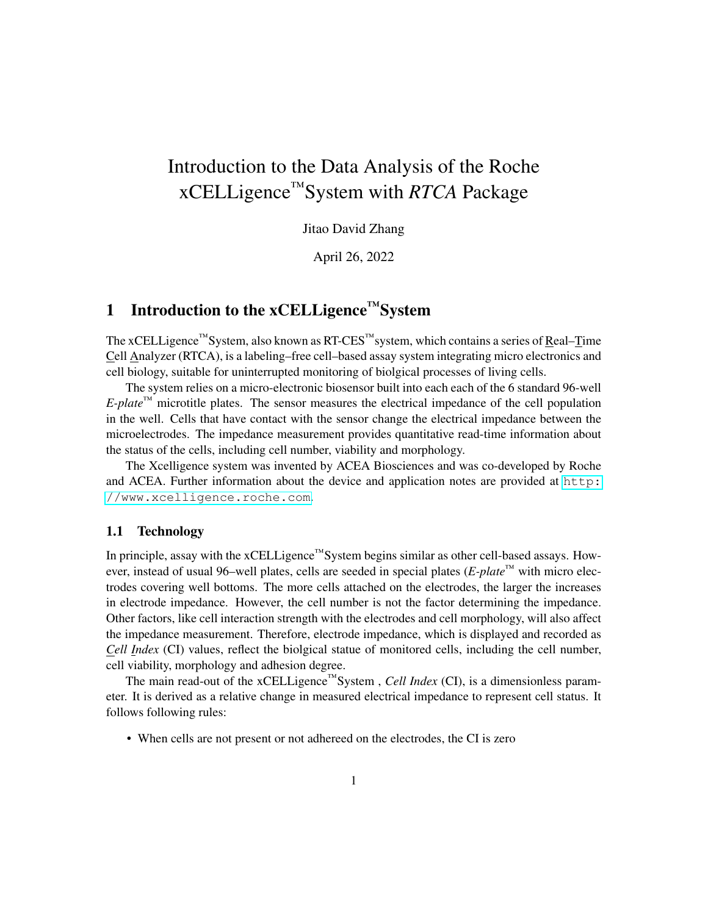# Introduction to the Data Analysis of the Roche xCELLigence™System with *RTCA* Package

Jitao David Zhang

April 26, 2022

## 1 Introduction to the xCELLigence<sup>™</sup>System

The xCELLigence™System, also known as RT-CES™system, which contains a series of Real–Time Cell Analyzer (RTCA), is a labeling–free cell–based assay system integrating micro electronics and cell biology, suitable for uninterrupted monitoring of biolgical processes of living cells.

The system relies on a micro-electronic biosensor built into each each of the 6 standard 96-well  $E\text{-}plate^{\text{TM}}$  microtitle plates. The sensor measures the electrical impedance of the cell population in the well. Cells that have contact with the sensor change the electrical impedance between the microelectrodes. The impedance measurement provides quantitative read-time information about the status of the cells, including cell number, viability and morphology.

The Xcelligence system was invented by ACEA Biosciences and was co-developed by Roche and ACEA. Further information about the device and application notes are provided at [http:](http://www.xcelligence.roche.com) [//www.xcelligence.roche.com](http://www.xcelligence.roche.com).

#### 1.1 Technology

In principle, assay with the xCELLigence™System begins similar as other cell-based assays. However, instead of usual 96–well plates, cells are seeded in special plates (*E-plate™* with micro electrodes covering well bottoms. The more cells attached on the electrodes, the larger the increases in electrode impedance. However, the cell number is not the factor determining the impedance. Other factors, like cell interaction strength with the electrodes and cell morphology, will also affect the impedance measurement. Therefore, electrode impedance, which is displayed and recorded as *Cell Index* (CI) values, reflect the biolgical statue of monitored cells, including the cell number, cell viability, morphology and adhesion degree.

The main read-out of the xCELLigence™System , *Cell Index* (CI), is a dimensionless parameter. It is derived as a relative change in measured electrical impedance to represent cell status. It follows following rules:

• When cells are not present or not adhereed on the electrodes, the CI is zero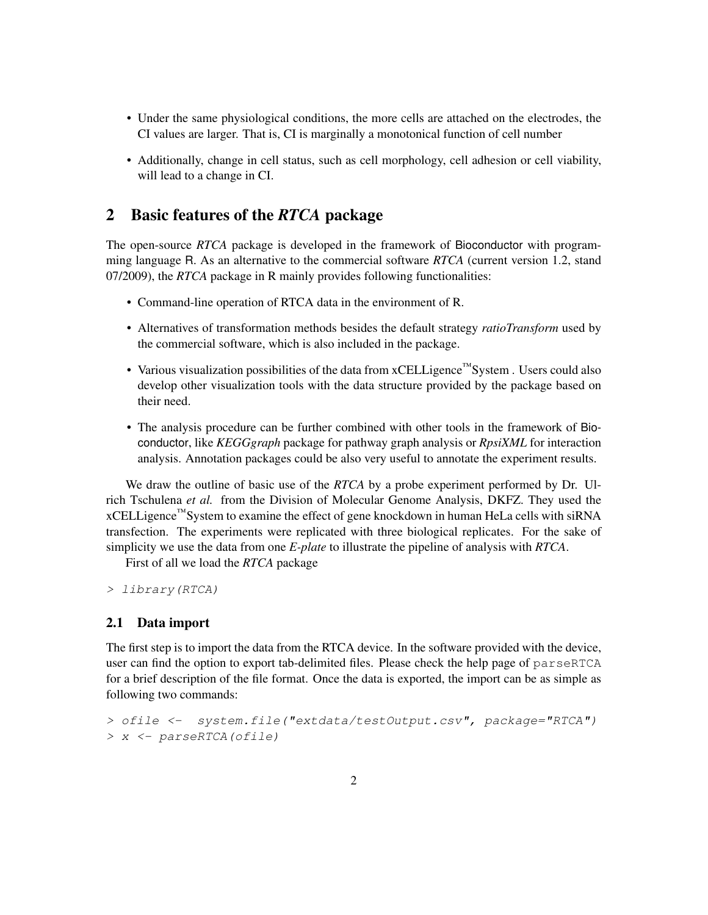- Under the same physiological conditions, the more cells are attached on the electrodes, the CI values are larger. That is, CI is marginally a monotonical function of cell number
- Additionally, change in cell status, such as cell morphology, cell adhesion or cell viability, will lead to a change in CI.

### 2 Basic features of the *RTCA* package

The open-source *RTCA* package is developed in the framework of Bioconductor with programming language R. As an alternative to the commercial software *RTCA* (current version 1.2, stand 07/2009), the *RTCA* package in R mainly provides following functionalities:

- Command-line operation of RTCA data in the environment of R.
- Alternatives of transformation methods besides the default strategy *ratioTransform* used by the commercial software, which is also included in the package.
- Various visualization possibilities of the data from xCELLigence™System . Users could also develop other visualization tools with the data structure provided by the package based on their need.
- The analysis procedure can be further combined with other tools in the framework of Bioconductor, like *KEGGgraph* package for pathway graph analysis or *RpsiXML* for interaction analysis. Annotation packages could be also very useful to annotate the experiment results.

We draw the outline of basic use of the *RTCA* by a probe experiment performed by Dr. Ulrich Tschulena *et al.* from the Division of Molecular Genome Analysis, DKFZ. They used the xCELLigence™System to examine the effect of gene knockdown in human HeLa cells with siRNA transfection. The experiments were replicated with three biological replicates. For the sake of simplicity we use the data from one *E-plate* to illustrate the pipeline of analysis with *RTCA*.

First of all we load the *RTCA* package

> library(RTCA)

#### 2.1 Data import

The first step is to import the data from the RTCA device. In the software provided with the device, user can find the option to export tab-delimited files. Please check the help page of parseRTCA for a brief description of the file format. Once the data is exported, the import can be as simple as following two commands:

```
> ofile <- system.file("extdata/testOutput.csv", package="RTCA")
> x <- parseRTCA(ofile)
```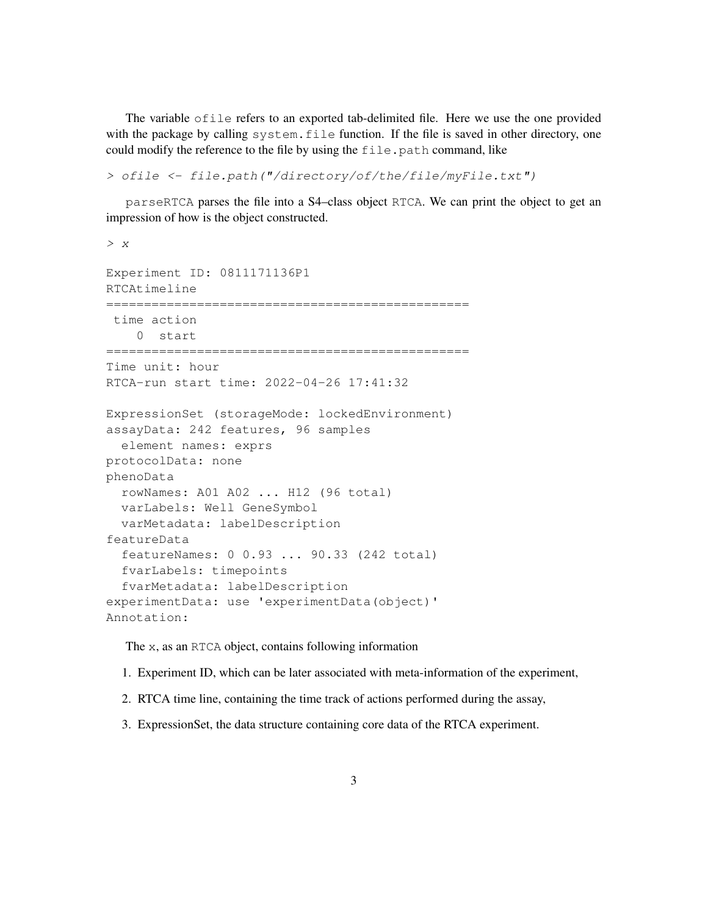The variable ofile refers to an exported tab-delimited file. Here we use the one provided with the package by calling system. file function. If the file is saved in other directory, one could modify the reference to the file by using the file.path command, like

> ofile <- file.path("/directory/of/the/file/myFile.txt")

parseRTCA parses the file into a S4–class object RTCA. We can print the object to get an impression of how is the object constructed.

```
> x
Experiment ID: 0811171136P1
RTCAtimeline
================================================
 time action
    0 start
================================================
Time unit: hour
RTCA-run start time: 2022-04-26 17:41:32
ExpressionSet (storageMode: lockedEnvironment)
assayData: 242 features, 96 samples
  element names: exprs
protocolData: none
phenoData
  rowNames: A01 A02 ... H12 (96 total)
 varLabels: Well GeneSymbol
  varMetadata: labelDescription
featureData
  featureNames: 0 0.93 ... 90.33 (242 total)
  fvarLabels: timepoints
  fvarMetadata: labelDescription
experimentData: use 'experimentData(object)'
Annotation:
```
The x, as an RTCA object, contains following information

- 1. Experiment ID, which can be later associated with meta-information of the experiment,
- 2. RTCA time line, containing the time track of actions performed during the assay,
- 3. ExpressionSet, the data structure containing core data of the RTCA experiment.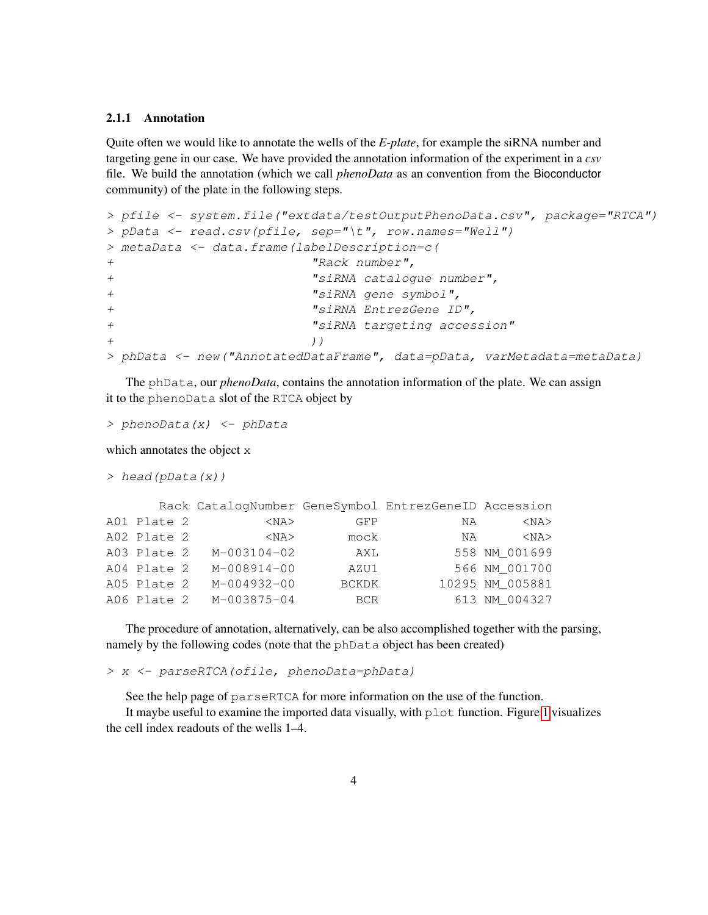#### 2.1.1 Annotation

Quite often we would like to annotate the wells of the *E-plate*, for example the siRNA number and targeting gene in our case. We have provided the annotation information of the experiment in a *csv* file. We build the annotation (which we call *phenoData* as an convention from the Bioconductor community) of the plate in the following steps.

```
> pfile <- system.file("extdata/testOutputPhenoData.csv", package="RTCA")
> pData <- read.csv(pfile, sep="\t", row.names="Well")
> metaData <- data.frame(labelDescription=c(
+ "Rack number",
+ "siRNA catalogue number",
+ "siRNA gene symbol",
+ "siRNA EntrezGene ID",
+ "siRNA targeting accession"
+ ) )
> phData <- new("AnnotatedDataFrame", data=pData, varMetadata=metaData)
```
The phData, our *phenoData*, contains the annotation information of the plate. We can assign it to the phenoData slot of the RTCA object by

```
> phenoData(x) <- phData
```
which annotates the object x

```
> head(pData(x))
```

|  | $<$ NA $>$                                                                             | GFP          | ΝA | $<$ NA $>$                                                 |
|--|----------------------------------------------------------------------------------------|--------------|----|------------------------------------------------------------|
|  | $<$ NA $>$                                                                             | mock         |    | $<$ NA $>$                                                 |
|  | M-003104-02                                                                            | AXL          |    | 558 NM 001699                                              |
|  | $M-008914-00$                                                                          | AZU1         |    | 566 NM 001700                                              |
|  | M-004932-00                                                                            | <b>BCKDK</b> |    | 10295 NM_005881                                            |
|  | M-003875-04                                                                            | BCR          |    | 613 NM 004327                                              |
|  | A01 Plate 2<br>A02 Plate 2<br>A03 Plate 2<br>A04 Plate 2<br>A05 Plate 2<br>A06 Plate 2 |              |    | Rack CatalogNumber GeneSymbol EntrezGeneID Accession<br>NA |

The procedure of annotation, alternatively, can be also accomplished together with the parsing, namely by the following codes (note that the phData object has been created)

> x <- parseRTCA(ofile, phenoData=phData)

See the help page of parseRTCA for more information on the use of the function.

It maybe useful to examine the imported data visually, with  $p$  lot function. Figure [1](#page-4-0) visualizes the cell index readouts of the wells 1–4.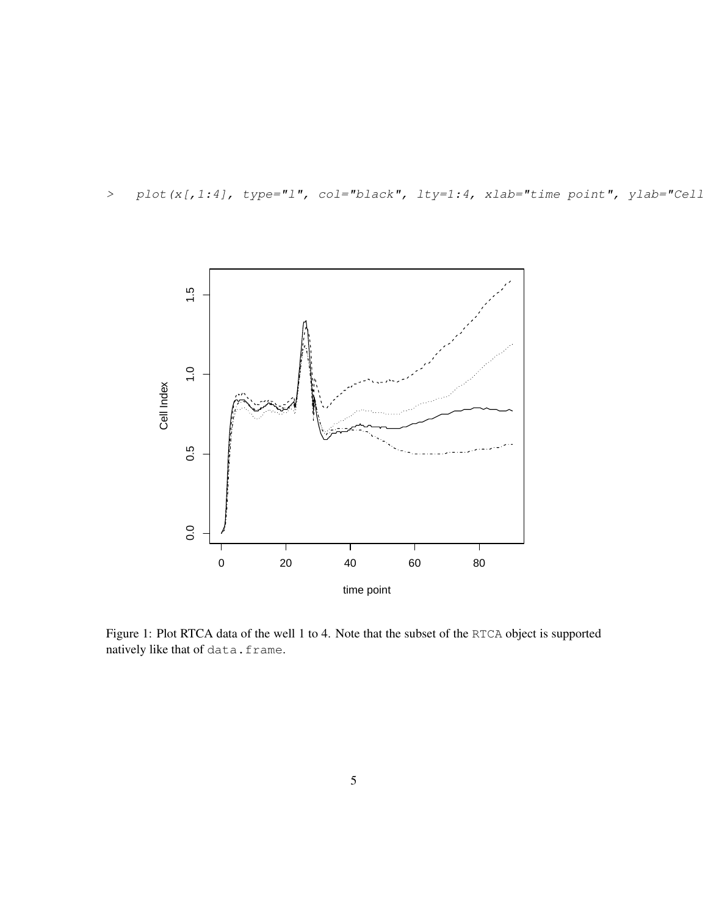> plot(x[,1:4], type="1", col="black", lty=1:4, xlab="time point", ylab="Cell



<span id="page-4-0"></span>Figure 1: Plot RTCA data of the well 1 to 4. Note that the subset of the RTCA object is supported natively like that of data.frame.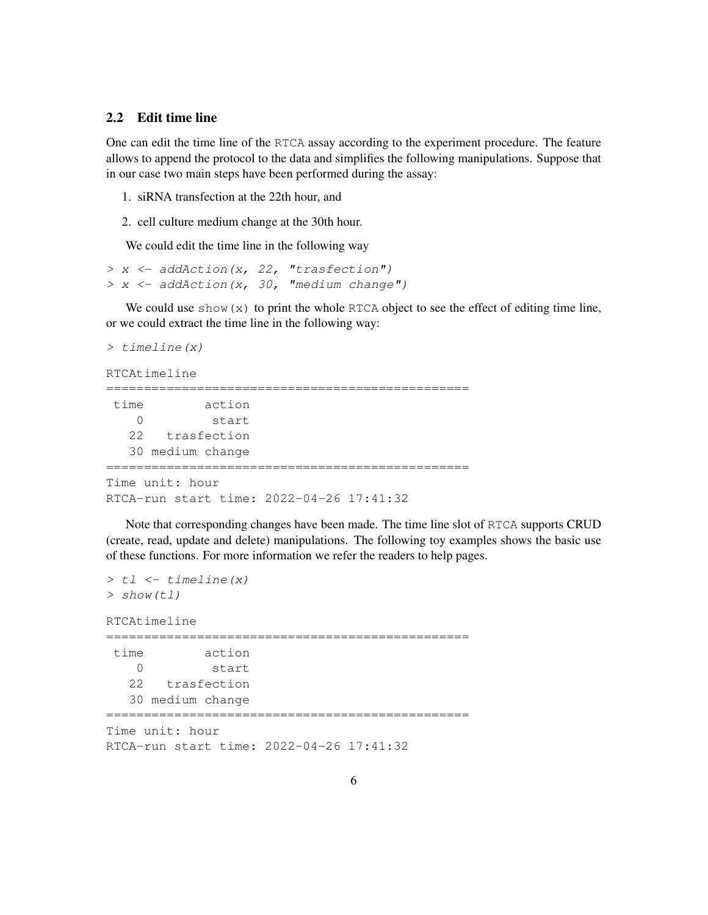#### 2.2 Edit time line

One can edit the time line of the RTCA assay according to the experiment procedure. The feature allows to append the protocol to the data and simplifies the following manipulations. Suppose that in our case two main steps have been performed during the assay:

- 1. siRNA transfection at the 22th hour, and
- 2. cell culture medium change at the 30th hour.

We could edit the time line in the following way

> x <- addAction(x, 22, "trasfection")  $> x < -$  addAction(x, 30, "medium change")

We could use  $\text{show}(x)$  to print the whole RTCA object to see the effect of editing time line, or we could extract the time line in the following way:

```
> timeline(x)
RTCAtimeline
================================================
time action
   0 start
  22 trasfection
  30 medium change
================================================
Time unit: hour
RTCA-run start time: 2022-04-26 17:41:32
```
Note that corresponding changes have been made. The time line slot of RTCA supports CRUD (create, read, update and delete) manipulations. The following toy examples shows the basic use of these functions. For more information we refer the readers to help pages.

```
> t1 < -t imeline (x)
> show(tl)
RTCAtimeline
================================================
time action
   0 start
  22 trasfection
  30 medium change
================================================
Time unit: hour
RTCA-run start time: 2022-04-26 17:41:32
```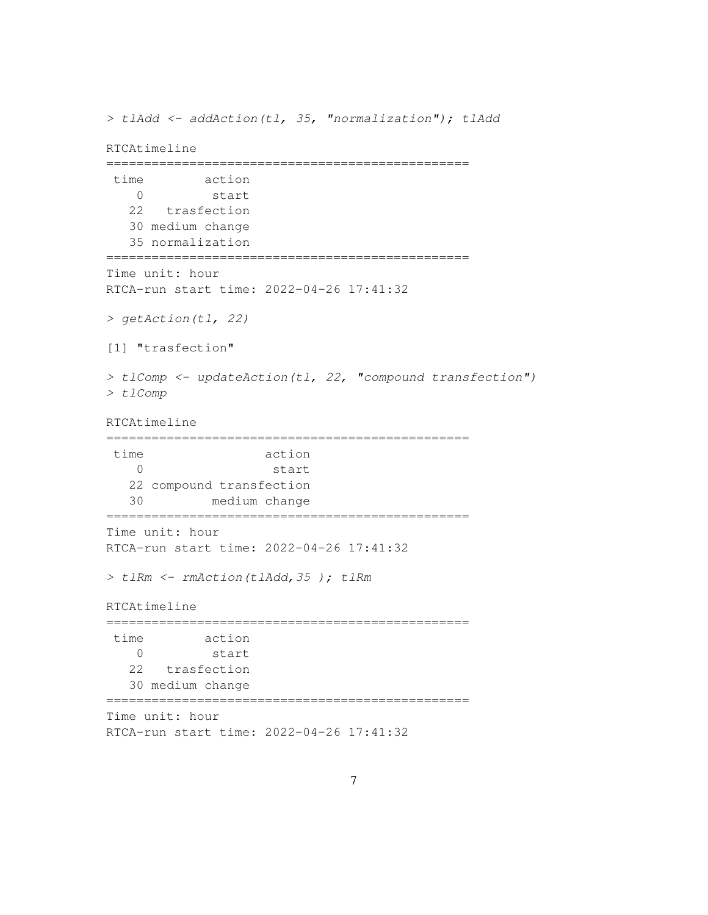```
> tlAdd <- addAction(tl, 35, "normalization"); tlAdd
RTCAtimeline
================================================
 time action
   0 start
  22 trasfection
  30 medium change
  35 normalization
================================================
Time unit: hour
RTCA-run start time: 2022-04-26 17:41:32
> getAction(tl, 22)
[1] "trasfection"
> tlComp <- updateAction(tl, 22, "compound transfection")
> tlComp
RTCAtimeline
================================================
time action
   0 start
  22 compound transfection
  30 medium change
================================================
Time unit: hour
RTCA-run start time: 2022-04-26 17:41:32
> tlRm <- rmAction(tlAdd,35 ); tlRm
RTCAtimeline
================================================
time action
   0 start
  22 trasfection
  30 medium change
================================================
Time unit: hour
RTCA-run start time: 2022-04-26 17:41:32
```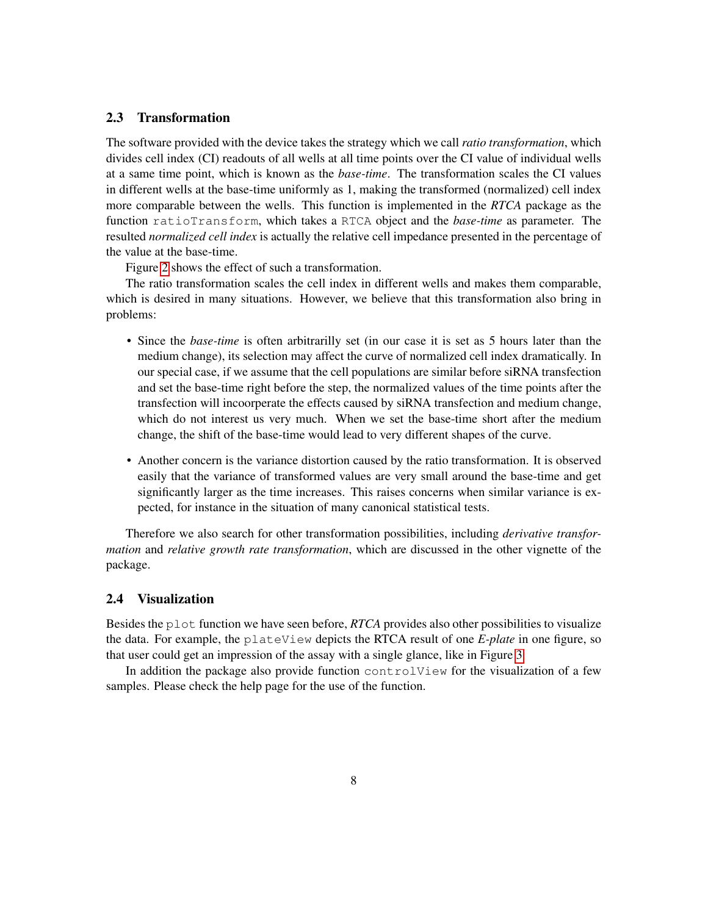#### 2.3 Transformation

The software provided with the device takes the strategy which we call *ratio transformation*, which divides cell index (CI) readouts of all wells at all time points over the CI value of individual wells at a same time point, which is known as the *base-time*. The transformation scales the CI values in different wells at the base-time uniformly as 1, making the transformed (normalized) cell index more comparable between the wells. This function is implemented in the *RTCA* package as the function ratioTransform, which takes a RTCA object and the *base-time* as parameter. The resulted *normalized cell index* is actually the relative cell impedance presented in the percentage of the value at the base-time.

Figure [2](#page-8-0) shows the effect of such a transformation.

The ratio transformation scales the cell index in different wells and makes them comparable, which is desired in many situations. However, we believe that this transformation also bring in problems:

- Since the *base-time* is often arbitrarilly set (in our case it is set as 5 hours later than the medium change), its selection may affect the curve of normalized cell index dramatically. In our special case, if we assume that the cell populations are similar before siRNA transfection and set the base-time right before the step, the normalized values of the time points after the transfection will incoorperate the effects caused by siRNA transfection and medium change, which do not interest us very much. When we set the base-time short after the medium change, the shift of the base-time would lead to very different shapes of the curve.
- Another concern is the variance distortion caused by the ratio transformation. It is observed easily that the variance of transformed values are very small around the base-time and get significantly larger as the time increases. This raises concerns when similar variance is expected, for instance in the situation of many canonical statistical tests.

Therefore we also search for other transformation possibilities, including *derivative transformation* and *relative growth rate transformation*, which are discussed in the other vignette of the package.

#### 2.4 Visualization

Besides the plot function we have seen before, *RTCA* provides also other possibilities to visualize the data. For example, the plateView depicts the RTCA result of one *E-plate* in one figure, so that user could get an impression of the assay with a single glance, like in Figure [3](#page-9-0)

In addition the package also provide function control  $V$ iew for the visualization of a few samples. Please check the help page for the use of the function.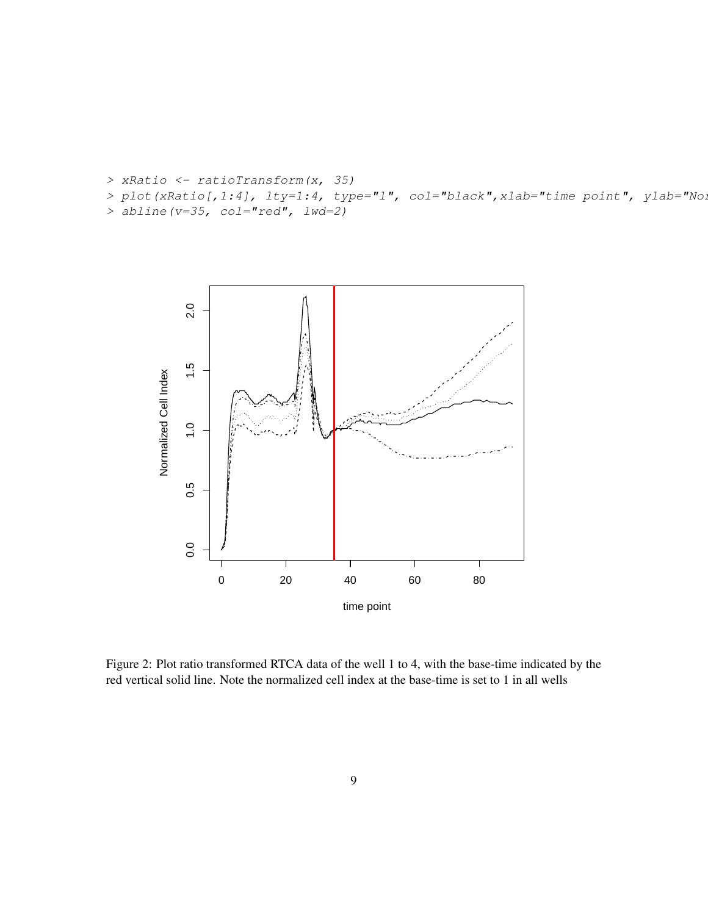```
> xRatio <- ratioTransform(x, 35)
> plot(xRatio[,1:4], lty=1:4, type="l", col="black", xlab="time point", ylab="No.
> abline(v=35, col="red", lwd=2)
```


<span id="page-8-0"></span>Figure 2: Plot ratio transformed RTCA data of the well 1 to 4, with the base-time indicated by the red vertical solid line. Note the normalized cell index at the base-time is set to 1 in all wells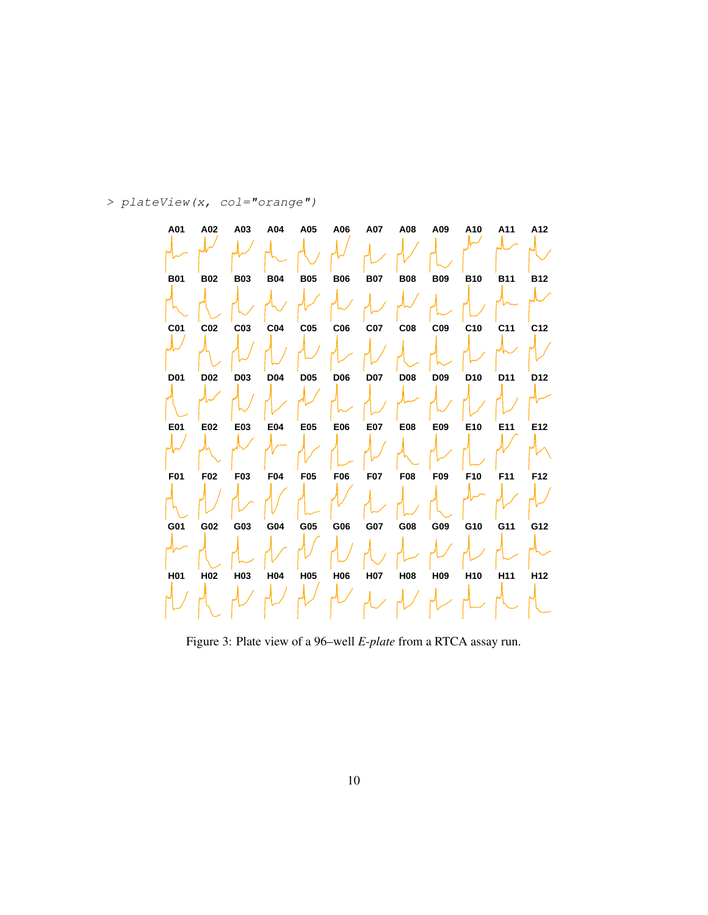#### > plateView(x, col="orange")



<span id="page-9-0"></span>Figure 3: Plate view of a 96–well *E-plate* from a RTCA assay run.